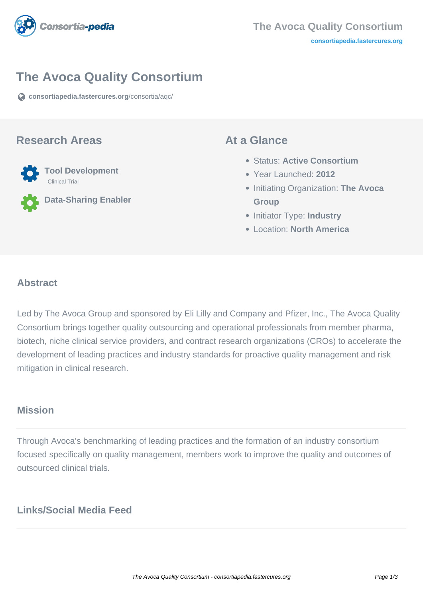

# **The Avoca Quality Consortium**

**[consortiapedia.fastercures.org](https://consortiapedia.fastercures.org/consortia/aqc/)**[/consortia/aqc/](https://consortiapedia.fastercures.org/consortia/aqc/)

### **Research Areas**



**Data-Sharing Enabler**

### **At a Glance**

- Status: **Active Consortium**
- Year Launched: **2012**
- **Initiating Organization: The Avoca Group**
- **Initiator Type: Industry**
- Location: **North America**

#### $\overline{a}$ **Abstract**

Led by The Avoca Group and sponsored by Eli Lilly and Company and Pfizer, Inc., The Avoca Quality Consortium brings together quality outsourcing and operational professionals from member pharma, biotech, niche clinical service providers, and contract research organizations (CROs) to accelerate the development of leading practices and industry standards for proactive quality management and risk mitigation in clinical research.

### **Mission**

Through Avoca's benchmarking of leading practices and the formation of an industry consortium focused specifically on quality management, members work to improve the quality and outcomes of outsourced clinical trials.

## **Links/Social Media Feed**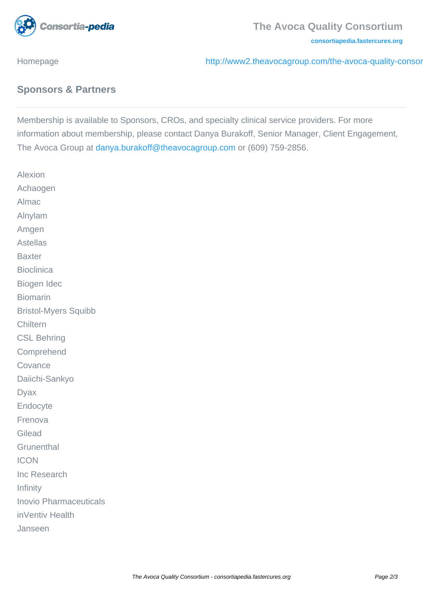

**[consortiapedia.fastercures.org](http://consortiapedia.fastercures.org/)**

Homepage <http://www2.theavocagroup.com/the-avoca-quality-consortium>

## **Sponsors & Partners**

Membership is available to Sponsors, CROs, and specialty clinical service providers. For more information about membership, please contact Danya Burakoff, Senior Manager, Client Engagement, The Avoca Group at [danya.burakoff@theavocagroup.com](mailto:danya.burakoff@theavocagroup.com) or (609) 759-2856.

Alexion Achaogen Almac Alnylam Amgen Astellas **Baxter Bioclinica** Biogen Idec Biomarin Bristol-Myers Squibb Chiltern CSL Behring Comprehend **Covance** Daiichi-Sankyo Dyax Endocyte Frenova Gilead **Grunenthal ICON** Inc Research Infinity Inovio Pharmaceuticals inVentiv Health Janseen